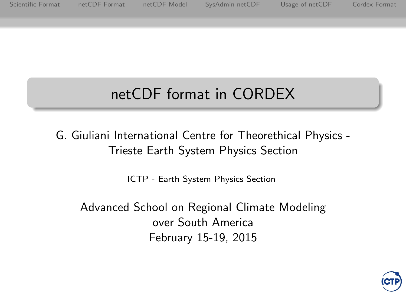<span id="page-0-0"></span>[Scientific Format](#page-1-0) [netCDF Format](#page-23-0) [netCDF Model](#page-26-0) [SysAdmin netCDF](#page-32-0) [Usage of netCDF](#page-37-0) Cordex Format

# netCDF format in CORDEX

G. Giuliani International Centre for Theorethical Physics - Trieste Earth System Physics Section

[ICTP - Earth System Physics Section](http://www.ictp.it)

Advanced School on Regional Climate Modeling over South America February 15-19, 2015

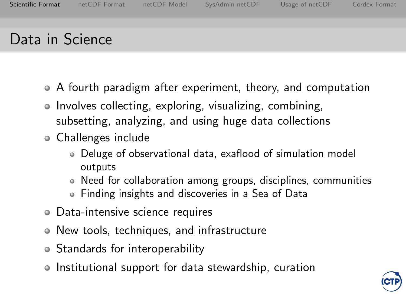### <span id="page-1-0"></span>Data in Science

- A fourth paradigm after experiment, theory, and computation
- Involves collecting, exploring, visualizing, combining, subsetting, analyzing, and using huge data collections
- Challenges include
	- Deluge of observational data, exaflood of simulation model outputs
	- Need for collaboration among groups, disciplines, communities
	- Finding insights and discoveries in a Sea of Data
- Data-intensive science requires
- New tools, techniques, and infrastructure
- Standards for interoperability
- Institutional support for data stewardship, curation

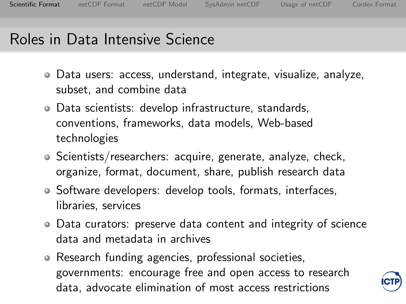#### Roles in Data Intensive Science

- Data users: access, understand, integrate, visualize, analyze, subset, and combine data
- Data scientists: develop infrastructure, standards, conventions, frameworks, data models, Web-based technologies
- Scientists/researchers: acquire, generate, analyze, check, organize, format, document, share, publish research data
- Software developers: develop tools, formats, interfaces, libraries, services
- Data curators: preserve data content and integrity of science data and metadata in archives
- Research funding agencies, professional societies, governments: encourage free and open access to research data, advocate elimination of most access restrictions

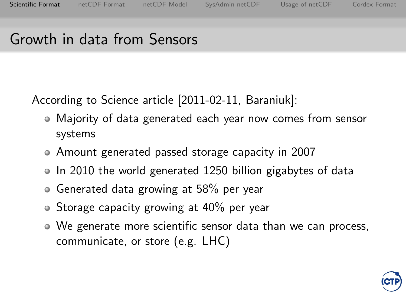#### Growth in data from Sensors

According to Science article [2011-02-11, Baraniuk]:

- Majority of data generated each year now comes from sensor systems
- Amount generated passed storage capacity in 2007
- In 2010 the world generated 1250 billion gigabytes of data
- Generated data growing at 58% per year
- $\bullet$  Storage capacity growing at 40% per year
- We generate more scientific sensor data than we can process, communicate, or store (e.g. LHC)

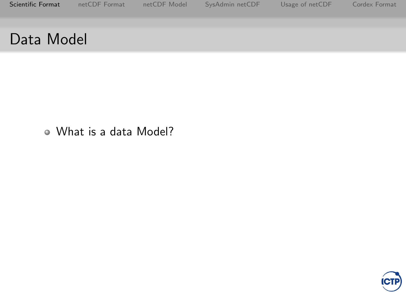#### What is a data Model?

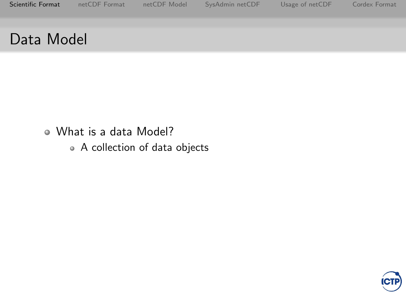- What is a data Model?
	- A collection of data objects

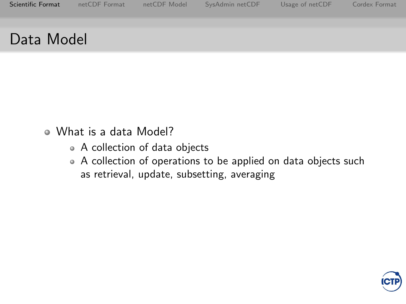- What is a data Model?
	- A collection of data objects
	- A collection of operations to be applied on data objects such as retrieval, update, subsetting, averaging

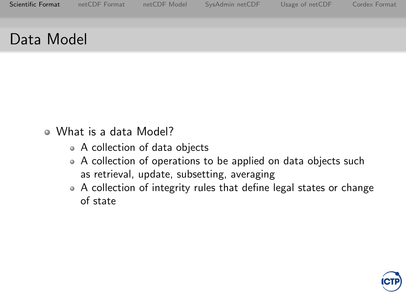- What is a data Model?
	- A collection of data objects
	- A collection of operations to be applied on data objects such as retrieval, update, subsetting, averaging
	- A collection of integrity rules that define legal states or change of state

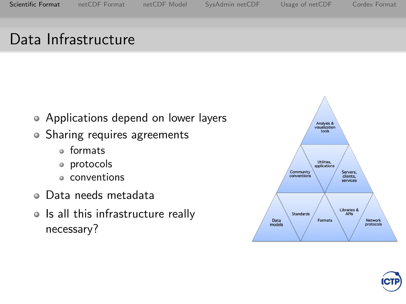## Data Infrastructure

- Applications depend on lower layers
- Sharing requires agreements
	- formats
	- protocols
	- conventions
- Data needs metadata
- Is all this infrastructure really necessary?



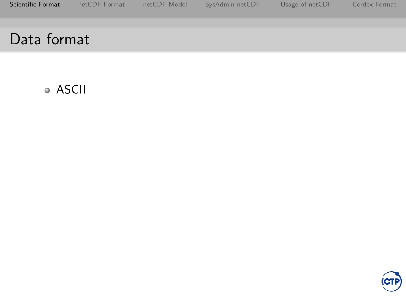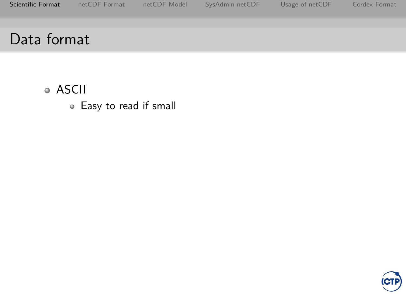ASCII Easy to read if small

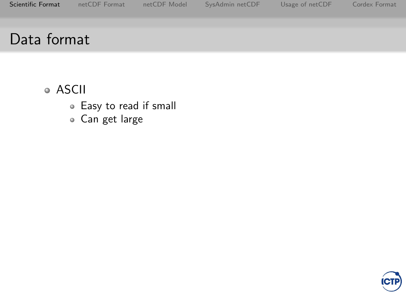- ASCII
	- Easy to read if small
	- Can get large

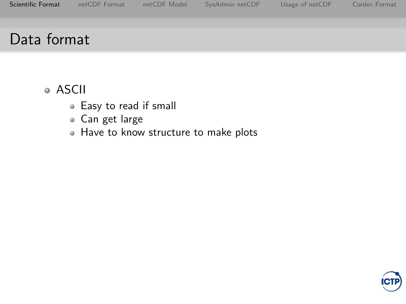- Easy to read if small
- Can get large
- Have to know structure to make plots

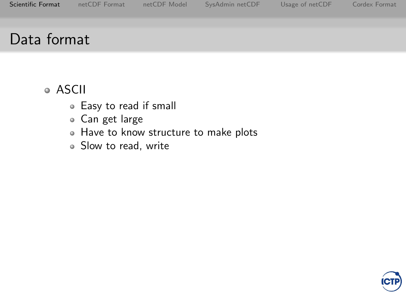- Easy to read if small
- Can get large
- Have to know structure to make plots
- Slow to read, write

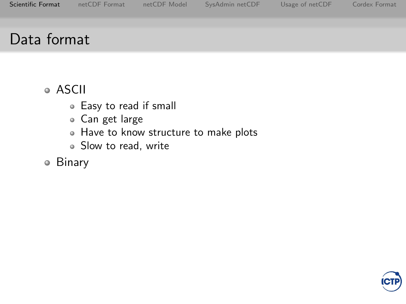- Easy to read if small
- Can get large
- Have to know structure to make plots
- Slow to read, write
- Binary

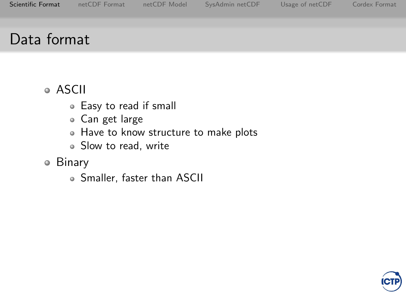- Easy to read if small
- Can get large
- Have to know structure to make plots
- Slow to read, write
- Binary
	- Smaller, faster than ASCII

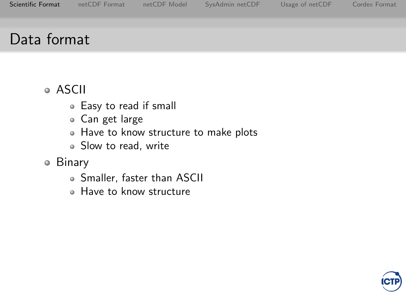- Easy to read if small
- Can get large
- Have to know structure to make plots
- Slow to read, write
- Binary
	- Smaller, faster than ASCII
	- Have to know structure

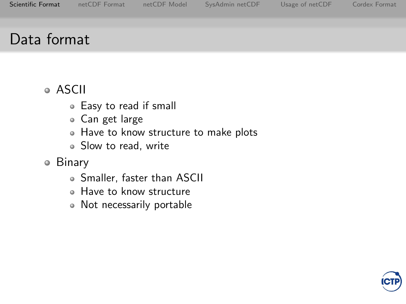- Easy to read if small
- Can get large
- Have to know structure to make plots
- Slow to read, write
- Binary
	- Smaller, faster than ASCII
	- Have to know structure
	- Not necessarily portable

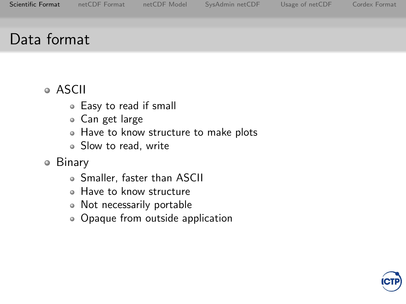- Easy to read if small
- Can get large
- Have to know structure to make plots
- Slow to read, write
- Binary
	- Smaller, faster than ASCII
	- Have to know structure
	- Not necessarily portable
	- Opaque from outside application

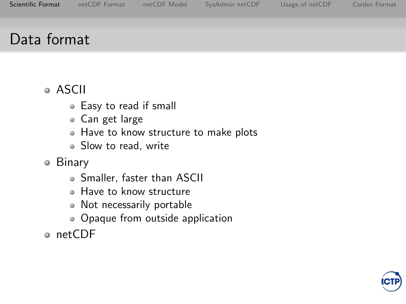- Easy to read if small
- Can get large
- Have to know structure to make plots
- Slow to read, write
- Binary
	- Smaller, faster than ASCII
	- Have to know structure
	- Not necessarily portable
	- Opaque from outside application
- netCDF

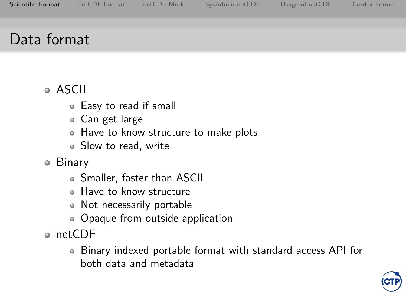- Easy to read if small
- Can get large
- Have to know structure to make plots
- Slow to read, write
- Binary
	- Smaller, faster than ASCII
	- Have to know structure
	- Not necessarily portable
	- Opaque from outside application
- ⊕ netCDF
	- Binary indexed portable format with standard access API for both data and metadata

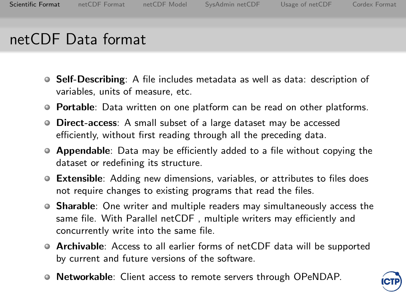### netCDF Data format

- **Self-Describing**: A file includes metadata as well as data: description of variables, units of measure, etc.
- **Portable**: Data written on one platform can be read on other platforms.
- **Direct-access:** A small subset of a large dataset may be accessed efficiently, without first reading through all the preceding data.
- **Appendable:** Data may be efficiently added to a file without copying the dataset or redefining its structure.
- **Extensible:** Adding new dimensions, variables, or attributes to files does not require changes to existing programs that read the files.
- Sharable: One writer and multiple readers may simultaneously access the same file. With Parallel netCDF , multiple writers may efficiently and concurrently write into the same file.
- Archivable: Access to all earlier forms of netCDF data will be supported by current and future versions of the software.
- **Networkable**: Client access to remote servers through OPeNDAP.

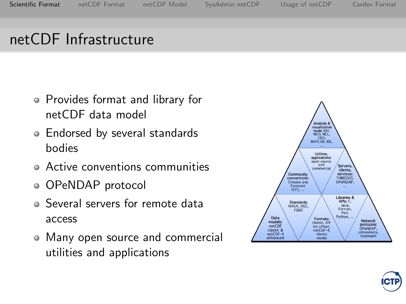## netCDF Infrastructure

- Provides format and library for netCDF data model
- Endorsed by several standards bodies
- Active conventions communities
- OPeNDAP protocol
- Several servers for remote data access
- Many open source and commercial utilities and applications



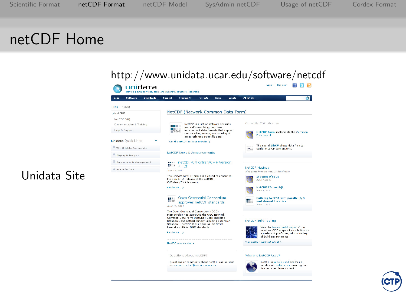#### <span id="page-23-0"></span>netCDF Home

| Data<br>Software<br><b>Descritoads</b> | Support<br><b>Community</b><br><b>Prefects</b><br>News<br><b>Events</b>                                                                                                       | Abset Us<br>o                                                                   |
|----------------------------------------|-------------------------------------------------------------------------------------------------------------------------------------------------------------------------------|---------------------------------------------------------------------------------|
| Home / NetCDF                          |                                                                                                                                                                               |                                                                                 |
| <b>&gt;NetCDE</b>                      | NetCDF (Network Common Data Form)                                                                                                                                             |                                                                                 |
| NetCDF FAQ                             |                                                                                                                                                                               | Other NetCDE Libraries                                                          |
| Documentation & Training               | NetCDF is a set of software ibraries<br>and self-describing, machine-<br>n m                                                                                                  |                                                                                 |
| Help & Support                         | independent data formats that support<br><b>TOYICOF</b><br>the creation, access, and sharing of<br>array-oriented scientific data.                                            | NetCDF Java implements the Common<br>Data Model.                                |
| <b>Unidata</b> Quick Links             | See the netCDF auckage averyless a                                                                                                                                            | The use of LibCE allows data files to                                           |
| <sup>11</sup> The Unidata Community    |                                                                                                                                                                               | conform to CF conventions.                                                      |
| <b>El Display &amp; Analysis</b>       | NetCDE News & Announcements                                                                                                                                                   |                                                                                 |
| <b>El Data Access &amp; Management</b> | netCDF-C/Fortran/C++ Version                                                                                                                                                  |                                                                                 |
| <sup>El</sup> Available Data           | 4.1.3<br>Jane 17, 2011                                                                                                                                                        | <b>NetCDF Musings</b>                                                           |
|                                        | The Unidata NetCDF group is pleased to announce<br>the new 4.1.3 release of the netCDF<br>C/Fortran/C++ libraries.                                                            | Blog posts from the NetCDP developers<br><b>Indexes R'nt us</b><br>June 7, 2011 |
|                                        | Read more 5                                                                                                                                                                   | NetCDE CDL vs SOL<br>Jane 4, 2011                                               |
|                                        | Open Geospatial Consortium<br>ш.<br>approves netCDF standards<br>April 19, 2011                                                                                               | building NetCDF with parallel 1/0<br>and shared libraries<br>Jane 1, 2011       |
|                                        | The Open Geospatial Consortium (OGC)<br>membership has approved the OGC Network                                                                                               |                                                                                 |
|                                        | Common Data Form (netCDF) Core Encoding<br>Standard, and netCDF Binary Encoding Extension<br>Standard - netCDF Classic and 64-bit Offset<br>Format as official OGC standards. | <b>NetCDF Build Testing</b>                                                     |
|                                        |                                                                                                                                                                               | View the lastest build output of the<br>latest netCDF snapshot distribution on  |
|                                        | Read more a                                                                                                                                                                   | a variety of platforms, with a variety<br>of build environments.                |
|                                        | NetCOF news archive >                                                                                                                                                         | View netCDF build test output >                                                 |
|                                        | Questions About netCDF?                                                                                                                                                       | Where is NetCDF Used?                                                           |
|                                        | Questions or comments about netCDF can be sent.                                                                                                                               | NetCDF is widely used and has a                                                 |
|                                        | te: support-netodf@unidata.ucar.edu                                                                                                                                           | number of contributors ensuring the<br>its continued development.               |



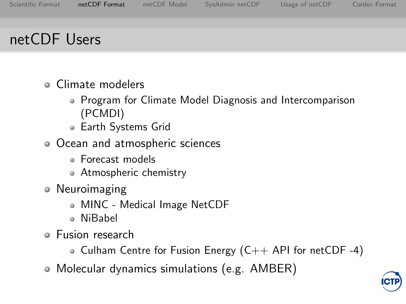### netCDF Users

- Climate modelers
	- Program for Climate Model Diagnosis and Intercomparison (PCMDI)
	- Earth Systems Grid
- Ocean and atmospheric sciences
	- Forecast models
	- Atmospheric chemistry
- Neuroimaging
	- MINC Medical Image NetCDF
	- NiBabel
- Fusion research
	- Culham Centre for Fusion Energy  $(C++$  API for netCDF -4)
- Molecular dynamics simulations (e.g. AMBER)

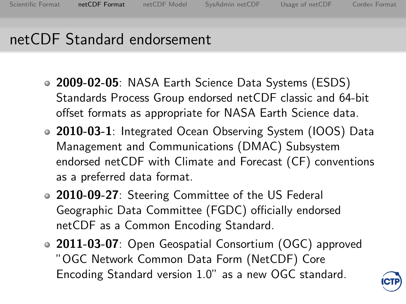## netCDF Standard endorsement

- 2009-02-05: NASA Earth Science Data Systems (ESDS) Standards Process Group endorsed netCDF classic and 64-bit offset formats as appropriate for NASA Earth Science data.
- 2010-03-1: Integrated Ocean Observing System (IOOS) Data Management and Communications (DMAC) Subsystem endorsed netCDF with Climate and Forecast (CF) conventions as a preferred data format.
- 2010-09-27: Steering Committee of the US Federal Geographic Data Committee (FGDC) officially endorsed netCDF as a Common Encoding Standard.
- 2011-03-07: Open Geospatial Consortium (OGC) approved "OGC Network Common Data Form (NetCDF) Core Encoding Standard version 1.0" as a new OGC standard.

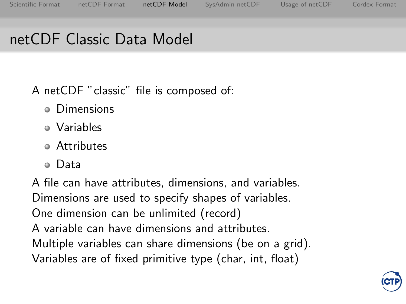## <span id="page-26-0"></span>netCDF Classic Data Model

A netCDF "classic" file is composed of:

- **•** Dimensions
- Variables
- Attributes
- Data

A file can have attributes, dimensions, and variables. Dimensions are used to specify shapes of variables. One dimension can be unlimited (record) A variable can have dimensions and attributes. Multiple variables can share dimensions (be on a grid). Variables are of fixed primitive type (char, int, float)

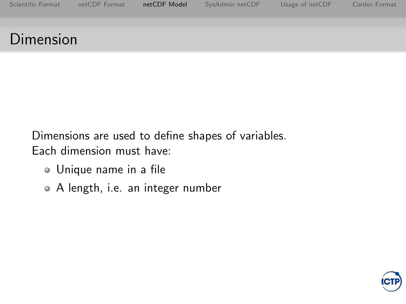## Dimension

Dimensions are used to define shapes of variables. Each dimension must have:

- Unique name in a file
- A length, i.e. an integer number

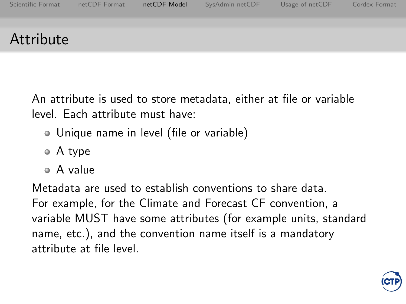## Attribute

An attribute is used to store metadata, either at file or variable level. Each attribute must have:

- Unique name in level (file or variable)
- A type
- A value

Metadata are used to establish conventions to share data. For example, for the Climate and Forecast CF convention, a variable MUST have some attributes (for example units, standard name, etc.), and the convention name itself is a mandatory attribute at file level.

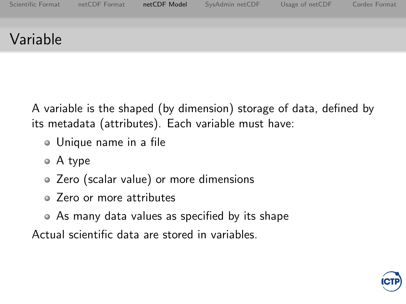### Variable

A variable is the shaped (by dimension) storage of data, defined by its metadata (attributes). Each variable must have:

- Unique name in a file
- A type
- Zero (scalar value) or more dimensions
- Zero or more attributes
- As many data values as specified by its shape

Actual scientific data are stored in variables.

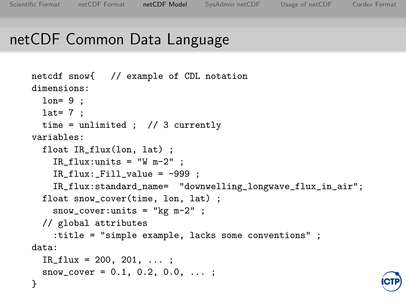}

### netCDF Common Data Language

```
netcdf snow{ // example of CDL notation
dimensions:
 lon= 9 ;
 lat= 7 ;
 time = unlimited ; // 3 currently
variables:
  float IR_flux(lon, lat) ;
    IR_flux:units = "W m-2" ;
    IR_flux: Fil\_value = -999 ;
    IR_flux:standard_name= "downwelling_longwave_flux_in_air";
  float snow_cover(time, lon, lat) ;
    snow\_cover: units = "kg m-2" ;
  // global attributes
    :title = "simple example, lacks some conventions" ;
data:
  IR_f1ux = 200, 201, ...;snow\_cover = 0.1, 0.2, 0.0, ...;
```
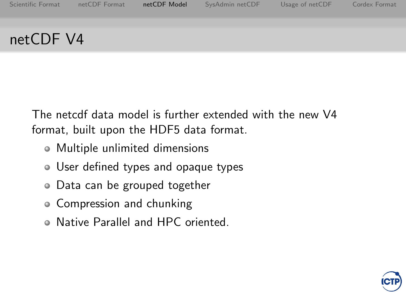### netCDF V4

The netcdf data model is further extended with the new V4 format, built upon the HDF5 data format.

- Multiple unlimited dimensions
- User defined types and opaque types
- Data can be grouped together
- Compression and chunking
- Native Parallel and HPC oriented.

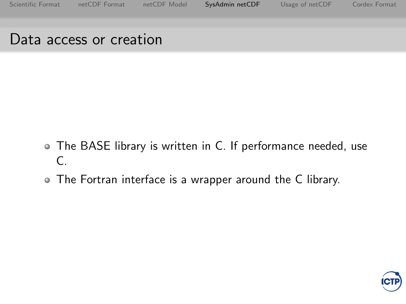#### <span id="page-32-0"></span>Data access or creation

- The BASE library is written in C. If performance needed, use C.
- The Fortran interface is a wrapper around the C library.

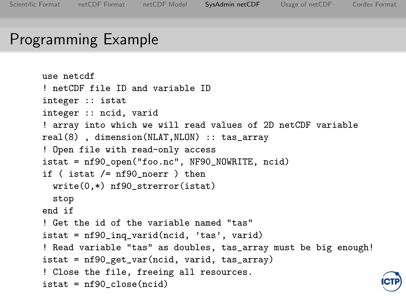### Programming Example

```
use netcdf
! netCDF file ID and variable ID
integer :: istat
integer :: ncid, varid
! array into which we will read values of 2D netCDF variable
real(8) , dimension(NLAT,NLON) :: tas_array
! Open file with read-only access
istat = nf90_open("foo.nc", NF90_NOWRITE, ncid)
if ( istat /= nf90_noerr ) then
 write(0,*) nf90_strerror(istat)
 stop
end if
! Get the id of the variable named "tas"
istat = nf90_inq_varid(ncid, 'tas', varid)
! Read variable "tas" as doubles, tas_array must be big enough!
istat = nf90_get_var(ncid, varid, tas_array)
! Close the file, freeing all resources.
istat = nf90_close(ncid)
```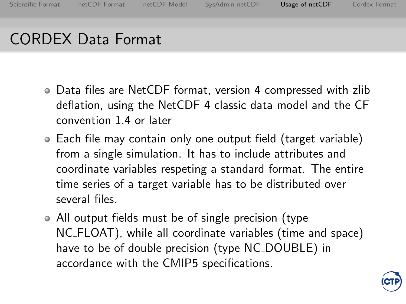# CORDEX Data Format

- Data files are NetCDF format, version 4 compressed with zlib deflation, using the NetCDF 4 classic data model and the CF convention 1.4 or later
- Each file may contain only one output field (target variable) from a single simulation. It has to include attributes and coordinate variables respeting a standard format. The entire time series of a target variable has to be distributed over several files.
- All output fields must be of single precision (type NC FLOAT), while all coordinate variables (time and space) have to be of double precision (type NC\_DOUBLE) in accordance with the CMIP5 specifications.

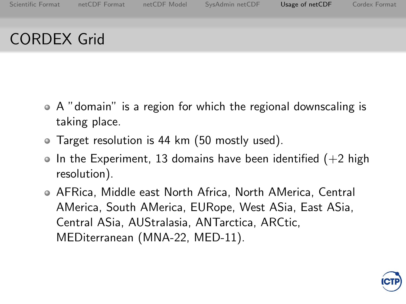# CORDEX Grid

- A "domain" is a region for which the regional downscaling is taking place.
- Target resolution is 44 km (50 mostly used).
- $\bullet$  In the Experiment, 13 domains have been identified (+2 high resolution).
- AFRica, Middle east North Africa, North AMerica, Central AMerica, South AMerica, EURope, West ASia, East ASia, Central ASia, AUStralasia, ANTarctica, ARCtic, MEDiterranean (MNA-22, MED-11).

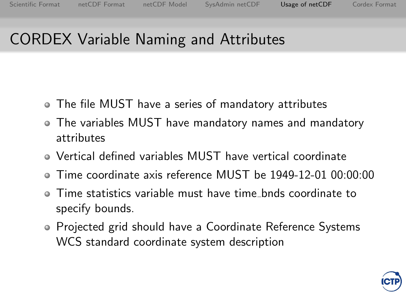## CORDEX Variable Naming and Attributes

- The file MUST have a series of mandatory attributes
- The variables MUST have mandatory names and mandatory attributes
- Vertical defined variables MUST have vertical coordinate
- Time coordinate axis reference MUST be 1949-12-01 00:00:00
- Time statistics variable must have time bnds coordinate to specify bounds.
- Projected grid should have a Coordinate Reference Systems WCS standard coordinate system description